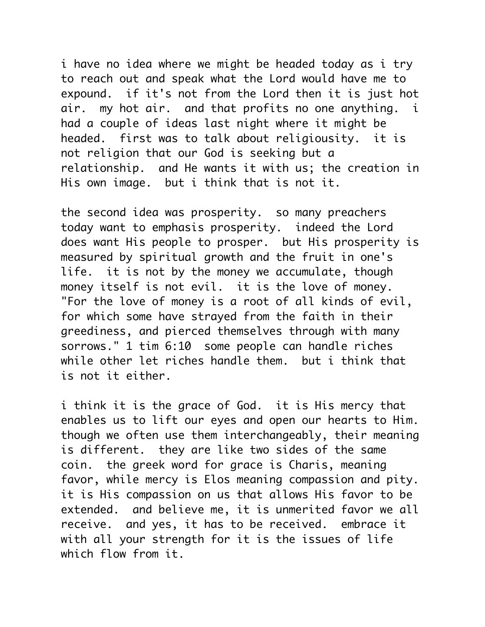i have no idea where we might be headed today as i try to reach out and speak what the Lord would have me to expound. if it's not from the Lord then it is just hot air. my hot air. and that profits no one anything. i had a couple of ideas last night where it might be headed. first was to talk about religiousity. it is not religion that our God is seeking but a relationship. and He wants it with us; the creation in His own image. but i think that is not it.

the second idea was prosperity. so many preachers today want to emphasis prosperity. indeed the Lord does want His people to prosper. but His prosperity is measured by spiritual growth and the fruit in one's life. it is not by the money we accumulate, though money itself is not evil. it is the love of money. "For the love of money is a root of all kinds of evil, for which some have strayed from the faith in their greediness, and pierced themselves through with many sorrows." 1 tim 6:10 some people can handle riches while other let riches handle them. but i think that is not it either.

i think it is the grace of God. it is His mercy that enables us to lift our eyes and open our hearts to Him. though we often use them interchangeably, their meaning is different. they are like two sides of the same coin. the greek word for grace is Charis, meaning favor, while mercy is Elos meaning compassion and pity. it is His compassion on us that allows His favor to be extended. and believe me, it is unmerited favor we all receive. and yes, it has to be received. embrace it with all your strength for it is the issues of life which flow from it.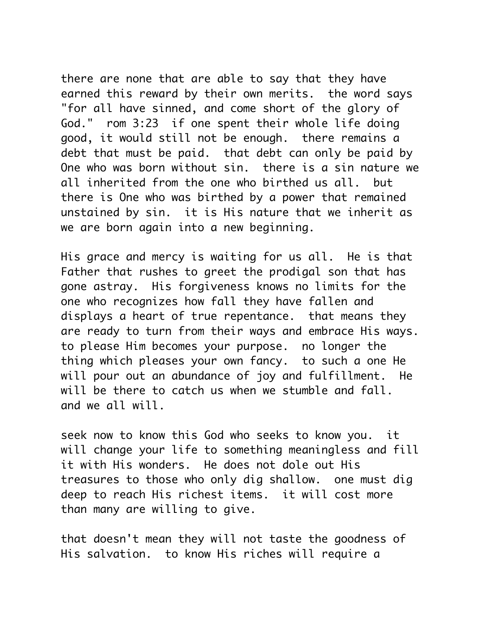there are none that are able to say that they have earned this reward by their own merits. the word says "for all have sinned, and come short of the glory of God." rom 3:23 if one spent their whole life doing good, it would still not be enough. there remains a debt that must be paid. that debt can only be paid by One who was born without sin. there is a sin nature we all inherited from the one who birthed us all. but there is One who was birthed by a power that remained unstained by sin. it is His nature that we inherit as we are born again into a new beginning.

His grace and mercy is waiting for us all. He is that Father that rushes to greet the prodigal son that has gone astray. His forgiveness knows no limits for the one who recognizes how fall they have fallen and displays a heart of true repentance. that means they are ready to turn from their ways and embrace His ways. to please Him becomes your purpose. no longer the thing which pleases your own fancy. to such a one He will pour out an abundance of joy and fulfillment. He will be there to catch us when we stumble and fall. and we all will.

seek now to know this God who seeks to know you. it will change your life to something meaningless and fill it with His wonders. He does not dole out His treasures to those who only dig shallow. one must dig deep to reach His richest items. it will cost more than many are willing to give.

that doesn't mean they will not taste the goodness of His salvation. to know His riches will require a